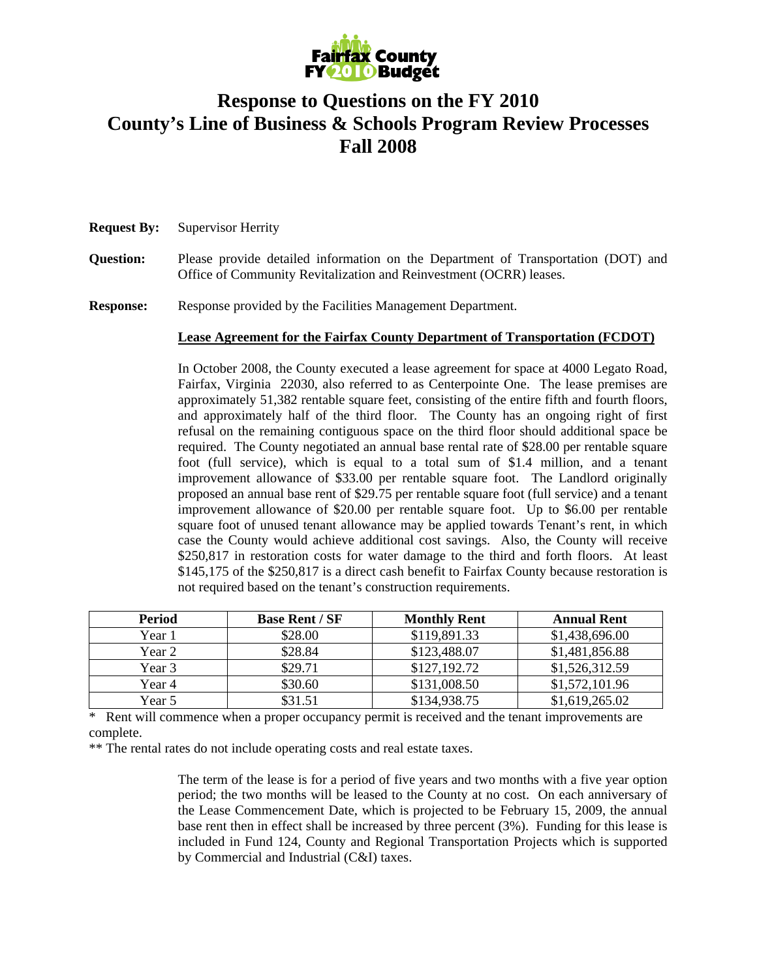

# **Response to Questions on the FY 2010 County's Line of Business & Schools Program Review Processes Fall 2008**

## **Request By:** Supervisor Herrity

- **Question:** Please provide detailed information on the Department of Transportation (DOT) and Office of Community Revitalization and Reinvestment (OCRR) leases.
- **Response:** Response provided by the Facilities Management Department.

# **Lease Agreement for the Fairfax County Department of Transportation (FCDOT)**

In October 2008, the County executed a lease agreement for space at 4000 Legato Road, Fairfax, Virginia 22030, also referred to as Centerpointe One. The lease premises are approximately 51,382 rentable square feet, consisting of the entire fifth and fourth floors, and approximately half of the third floor. The County has an ongoing right of first refusal on the remaining contiguous space on the third floor should additional space be required. The County negotiated an annual base rental rate of \$28.00 per rentable square foot (full service), which is equal to a total sum of \$1.4 million, and a tenant improvement allowance of \$33.00 per rentable square foot. The Landlord originally proposed an annual base rent of \$29.75 per rentable square foot (full service) and a tenant improvement allowance of \$20.00 per rentable square foot. Up to \$6.00 per rentable square foot of unused tenant allowance may be applied towards Tenant's rent, in which case the County would achieve additional cost savings. Also, the County will receive \$250,817 in restoration costs for water damage to the third and forth floors. At least \$145,175 of the \$250,817 is a direct cash benefit to Fairfax County because restoration is not required based on the tenant's construction requirements.

| <b>Period</b> | <b>Base Rent / SF</b> | <b>Monthly Rent</b> | <b>Annual Rent</b> |
|---------------|-----------------------|---------------------|--------------------|
| Year 1        | \$28.00               | \$119,891.33        | \$1,438,696.00     |
| Year 2        | \$28.84               | \$123,488.07        | \$1,481,856.88     |
| Year 3        | \$29.71               | \$127,192.72        | \$1,526,312.59     |
| Year 4        | \$30.60               | \$131,008.50        | \$1,572,101.96     |
| Year 5        | \$31.51               | \$134,938.75        | \$1,619,265.02     |

\* Rent will commence when a proper occupancy permit is received and the tenant improvements are complete.

\*\* The rental rates do not include operating costs and real estate taxes.

The term of the lease is for a period of five years and two months with a five year option period; the two months will be leased to the County at no cost. On each anniversary of the Lease Commencement Date, which is projected to be February 15, 2009, the annual base rent then in effect shall be increased by three percent (3%). Funding for this lease is included in Fund 124, County and Regional Transportation Projects which is supported by Commercial and Industrial (C&I) taxes.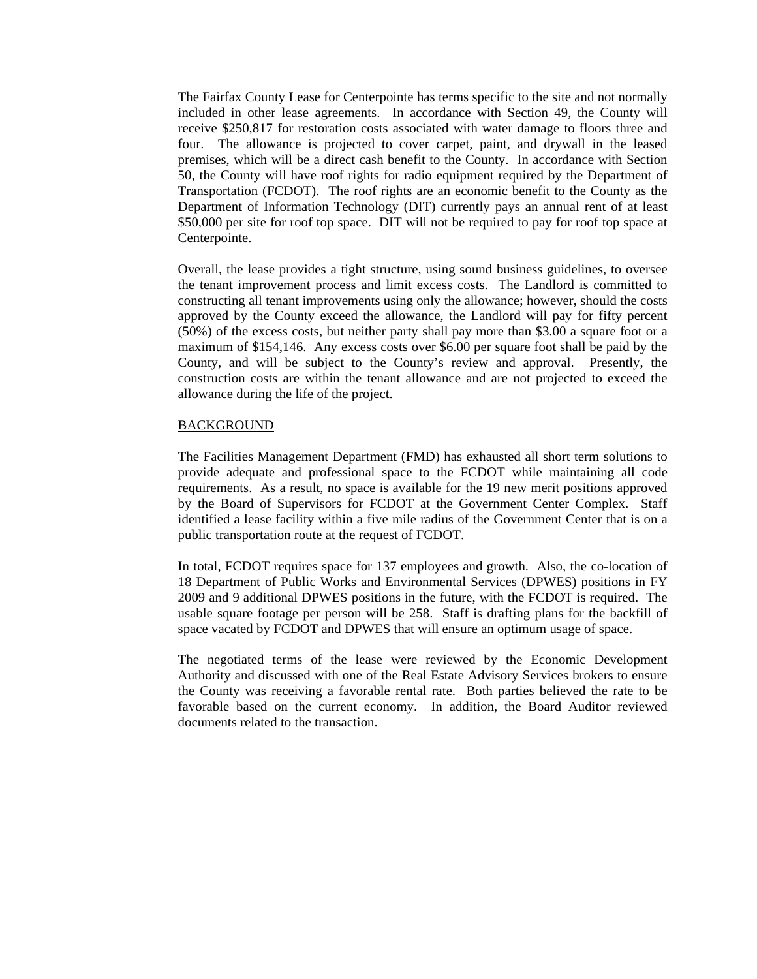The Fairfax County Lease for Centerpointe has terms specific to the site and not normally included in other lease agreements. In accordance with Section 49, the County will receive \$250,817 for restoration costs associated with water damage to floors three and four. The allowance is projected to cover carpet, paint, and drywall in the leased premises, which will be a direct cash benefit to the County. In accordance with Section 50, the County will have roof rights for radio equipment required by the Department of Transportation (FCDOT). The roof rights are an economic benefit to the County as the Department of Information Technology (DIT) currently pays an annual rent of at least \$50,000 per site for roof top space. DIT will not be required to pay for roof top space at Centerpointe.

Overall, the lease provides a tight structure, using sound business guidelines, to oversee the tenant improvement process and limit excess costs. The Landlord is committed to constructing all tenant improvements using only the allowance; however, should the costs approved by the County exceed the allowance, the Landlord will pay for fifty percent (50%) of the excess costs, but neither party shall pay more than \$3.00 a square foot or a maximum of \$154,146. Any excess costs over \$6.00 per square foot shall be paid by the County, and will be subject to the County's review and approval. Presently, the construction costs are within the tenant allowance and are not projected to exceed the allowance during the life of the project.

#### **BACKGROUND**

The Facilities Management Department (FMD) has exhausted all short term solutions to provide adequate and professional space to the FCDOT while maintaining all code requirements. As a result, no space is available for the 19 new merit positions approved by the Board of Supervisors for FCDOT at the Government Center Complex. Staff identified a lease facility within a five mile radius of the Government Center that is on a public transportation route at the request of FCDOT.

In total, FCDOT requires space for 137 employees and growth. Also, the co-location of 18 Department of Public Works and Environmental Services (DPWES) positions in FY 2009 and 9 additional DPWES positions in the future, with the FCDOT is required. The usable square footage per person will be 258. Staff is drafting plans for the backfill of space vacated by FCDOT and DPWES that will ensure an optimum usage of space.

The negotiated terms of the lease were reviewed by the Economic Development Authority and discussed with one of the Real Estate Advisory Services brokers to ensure the County was receiving a favorable rental rate. Both parties believed the rate to be favorable based on the current economy. In addition, the Board Auditor reviewed documents related to the transaction.